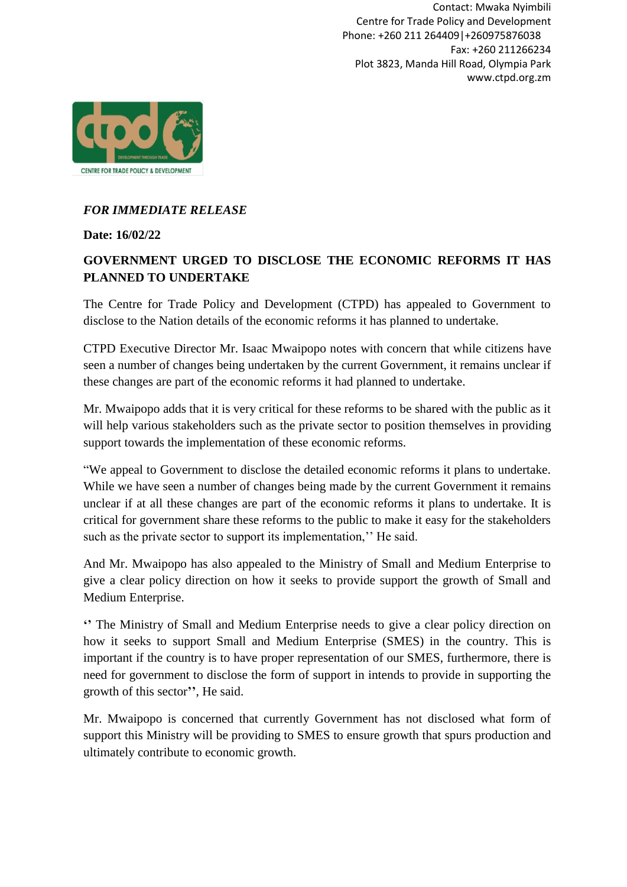Contact: Mwaka Nyimbili Centre for Trade Policy and Development Phone: +260 211 264409|+260975876038 Fax: +260 211266234 Plot 3823, Manda Hill Road, Olympia Park www.ctpd.org.zm



## *FOR IMMEDIATE RELEASE*

**Date: 16/02/22**

## **GOVERNMENT URGED TO DISCLOSE THE ECONOMIC REFORMS IT HAS PLANNED TO UNDERTAKE**

The Centre for Trade Policy and Development (CTPD) has appealed to Government to disclose to the Nation details of the economic reforms it has planned to undertake.

CTPD Executive Director Mr. Isaac Mwaipopo notes with concern that while citizens have seen a number of changes being undertaken by the current Government, it remains unclear if these changes are part of the economic reforms it had planned to undertake.

Mr. Mwaipopo adds that it is very critical for these reforms to be shared with the public as it will help various stakeholders such as the private sector to position themselves in providing support towards the implementation of these economic reforms.

"We appeal to Government to disclose the detailed economic reforms it plans to undertake. While we have seen a number of changes being made by the current Government it remains unclear if at all these changes are part of the economic reforms it plans to undertake. It is critical for government share these reforms to the public to make it easy for the stakeholders such as the private sector to support its implementation," He said.

And Mr. Mwaipopo has also appealed to the Ministry of Small and Medium Enterprise to give a clear policy direction on how it seeks to provide support the growth of Small and Medium Enterprise.

**''** The Ministry of Small and Medium Enterprise needs to give a clear policy direction on how it seeks to support Small and Medium Enterprise (SMES) in the country. This is important if the country is to have proper representation of our SMES, furthermore, there is need for government to disclose the form of support in intends to provide in supporting the growth of this sector**''**, He said.

Mr. Mwaipopo is concerned that currently Government has not disclosed what form of support this Ministry will be providing to SMES to ensure growth that spurs production and ultimately contribute to economic growth.